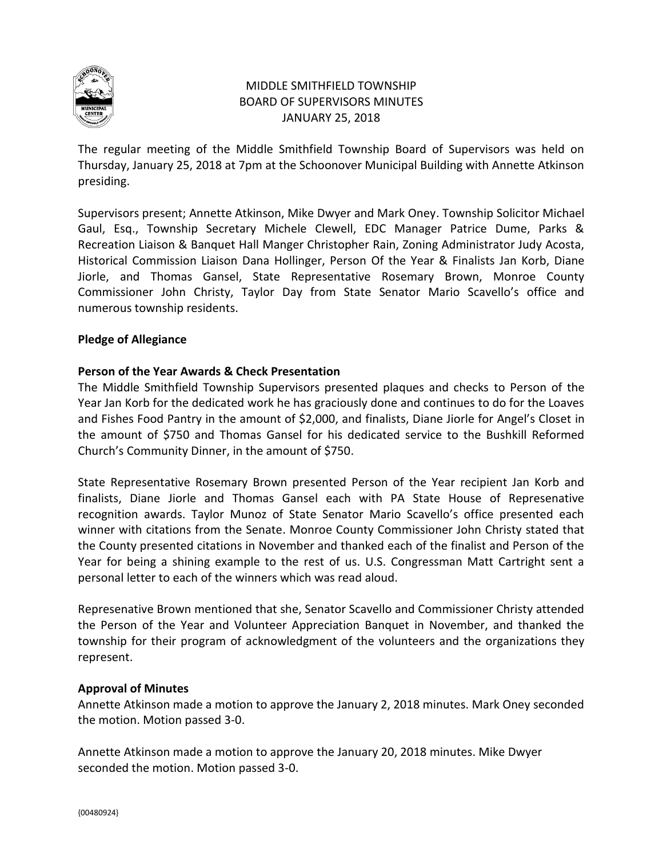

# MIDDLE SMITHFIELD TOWNSHIP BOARD OF SUPERVISORS MINUTES JANUARY 25, 2018

The regular meeting of the Middle Smithfield Township Board of Supervisors was held on Thursday, January 25, 2018 at 7pm at the Schoonover Municipal Building with Annette Atkinson presiding.

Supervisors present; Annette Atkinson, Mike Dwyer and Mark Oney. Township Solicitor Michael Gaul, Esq., Township Secretary Michele Clewell, EDC Manager Patrice Dume, Parks & Recreation Liaison & Banquet Hall Manger Christopher Rain, Zoning Administrator Judy Acosta, Historical Commission Liaison Dana Hollinger, Person Of the Year & Finalists Jan Korb, Diane Jiorle, and Thomas Gansel, State Representative Rosemary Brown, Monroe County Commissioner John Christy, Taylor Day from State Senator Mario Scavello's office and numerous township residents.

## **Pledge of Allegiance**

## **Person of the Year Awards & Check Presentation**

The Middle Smithfield Township Supervisors presented plaques and checks to Person of the Year Jan Korb for the dedicated work he has graciously done and continues to do for the Loaves and Fishes Food Pantry in the amount of \$2,000, and finalists, Diane Jiorle for Angel's Closet in the amount of \$750 and Thomas Gansel for his dedicated service to the Bushkill Reformed Church's Community Dinner, in the amount of \$750.

State Representative Rosemary Brown presented Person of the Year recipient Jan Korb and finalists, Diane Jiorle and Thomas Gansel each with PA State House of Represenative recognition awards. Taylor Munoz of State Senator Mario Scavello's office presented each winner with citations from the Senate. Monroe County Commissioner John Christy stated that the County presented citations in November and thanked each of the finalist and Person of the Year for being a shining example to the rest of us. U.S. Congressman Matt Cartright sent a personal letter to each of the winners which was read aloud.

Represenative Brown mentioned that she, Senator Scavello and Commissioner Christy attended the Person of the Year and Volunteer Appreciation Banquet in November, and thanked the township for their program of acknowledgment of the volunteers and the organizations they represent.

## **Approval of Minutes**

Annette Atkinson made a motion to approve the January 2, 2018 minutes. Mark Oney seconded the motion. Motion passed 3-0.

Annette Atkinson made a motion to approve the January 20, 2018 minutes. Mike Dwyer seconded the motion. Motion passed 3-0.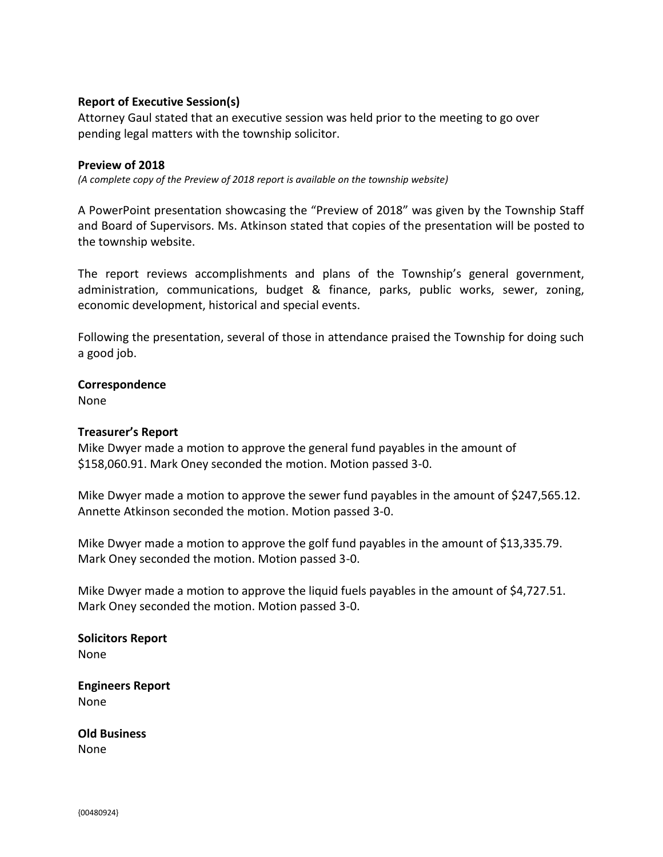#### **Report of Executive Session(s)**

Attorney Gaul stated that an executive session was held prior to the meeting to go over pending legal matters with the township solicitor.

#### **Preview of 2018**

*(A complete copy of the Preview of 2018 report is available on the township website)* 

A PowerPoint presentation showcasing the "Preview of 2018" was given by the Township Staff and Board of Supervisors. Ms. Atkinson stated that copies of the presentation will be posted to the township website.

The report reviews accomplishments and plans of the Township's general government, administration, communications, budget & finance, parks, public works, sewer, zoning, economic development, historical and special events.

Following the presentation, several of those in attendance praised the Township for doing such a good job.

#### **Correspondence**

None

#### **Treasurer's Report**

Mike Dwyer made a motion to approve the general fund payables in the amount of \$158,060.91. Mark Oney seconded the motion. Motion passed 3-0.

Mike Dwyer made a motion to approve the sewer fund payables in the amount of \$247,565.12. Annette Atkinson seconded the motion. Motion passed 3-0.

Mike Dwyer made a motion to approve the golf fund payables in the amount of \$13,335.79. Mark Oney seconded the motion. Motion passed 3-0.

Mike Dwyer made a motion to approve the liquid fuels payables in the amount of \$4,727.51. Mark Oney seconded the motion. Motion passed 3-0.

**Solicitors Report** None

**Engineers Report** None

**Old Business** None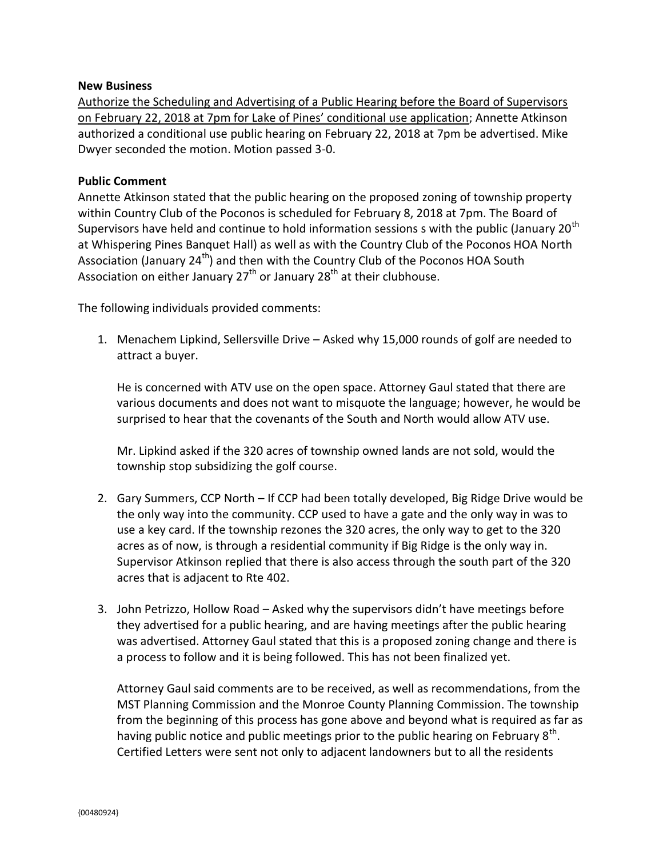#### **New Business**

Authorize the Scheduling and Advertising of a Public Hearing before the Board of Supervisors on February 22, 2018 at 7pm for Lake of Pines' conditional use application; Annette Atkinson authorized a conditional use public hearing on February 22, 2018 at 7pm be advertised. Mike Dwyer seconded the motion. Motion passed 3-0.

#### **Public Comment**

Annette Atkinson stated that the public hearing on the proposed zoning of township property within Country Club of the Poconos is scheduled for February 8, 2018 at 7pm. The Board of Supervisors have held and continue to hold information sessions s with the public (January 20<sup>th</sup>) at Whispering Pines Banquet Hall) as well as with the Country Club of the Poconos HOA North Association (January 24<sup>th</sup>) and then with the Country Club of the Poconos HOA South Association on either January  $27<sup>th</sup>$  or January  $28<sup>th</sup>$  at their clubhouse.

The following individuals provided comments:

1. Menachem Lipkind, Sellersville Drive – Asked why 15,000 rounds of golf are needed to attract a buyer.

He is concerned with ATV use on the open space. Attorney Gaul stated that there are various documents and does not want to misquote the language; however, he would be surprised to hear that the covenants of the South and North would allow ATV use.

Mr. Lipkind asked if the 320 acres of township owned lands are not sold, would the township stop subsidizing the golf course.

- 2. Gary Summers, CCP North If CCP had been totally developed, Big Ridge Drive would be the only way into the community. CCP used to have a gate and the only way in was to use a key card. If the township rezones the 320 acres, the only way to get to the 320 acres as of now, is through a residential community if Big Ridge is the only way in. Supervisor Atkinson replied that there is also access through the south part of the 320 acres that is adjacent to Rte 402.
- 3. John Petrizzo, Hollow Road Asked why the supervisors didn't have meetings before they advertised for a public hearing, and are having meetings after the public hearing was advertised. Attorney Gaul stated that this is a proposed zoning change and there is a process to follow and it is being followed. This has not been finalized yet.

Attorney Gaul said comments are to be received, as well as recommendations, from the MST Planning Commission and the Monroe County Planning Commission. The township from the beginning of this process has gone above and beyond what is required as far as having public notice and public meetings prior to the public hearing on February  $8^{\text{th}}$ . Certified Letters were sent not only to adjacent landowners but to all the residents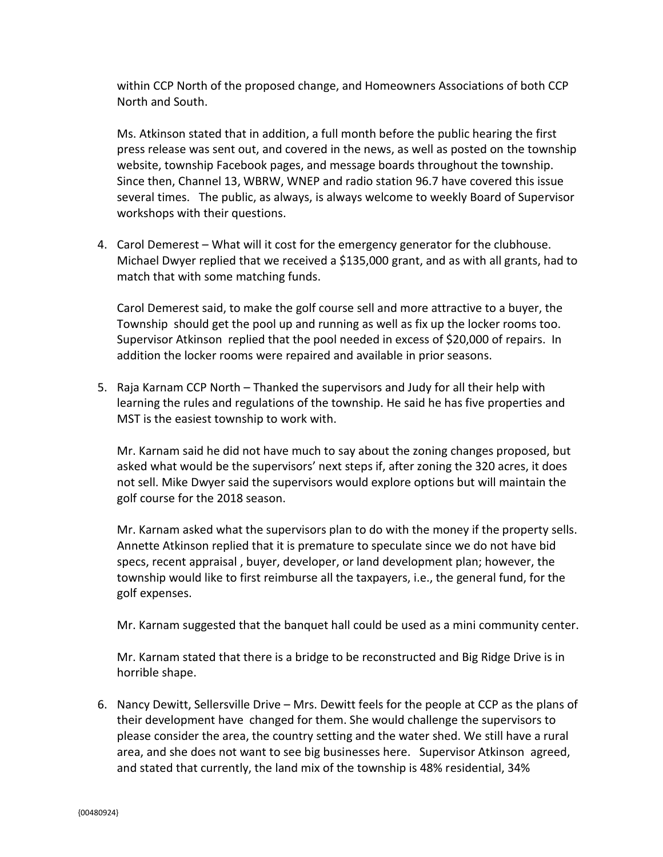within CCP North of the proposed change, and Homeowners Associations of both CCP North and South.

Ms. Atkinson stated that in addition, a full month before the public hearing the first press release was sent out, and covered in the news, as well as posted on the township website, township Facebook pages, and message boards throughout the township. Since then, Channel 13, WBRW, WNEP and radio station 96.7 have covered this issue several times. The public, as always, is always welcome to weekly Board of Supervisor workshops with their questions.

4. Carol Demerest – What will it cost for the emergency generator for the clubhouse. Michael Dwyer replied that we received a \$135,000 grant, and as with all grants, had to match that with some matching funds.

Carol Demerest said, to make the golf course sell and more attractive to a buyer, the Township should get the pool up and running as well as fix up the locker rooms too. Supervisor Atkinson replied that the pool needed in excess of \$20,000 of repairs. In addition the locker rooms were repaired and available in prior seasons.

5. Raja Karnam CCP North – Thanked the supervisors and Judy for all their help with learning the rules and regulations of the township. He said he has five properties and MST is the easiest township to work with.

Mr. Karnam said he did not have much to say about the zoning changes proposed, but asked what would be the supervisors' next steps if, after zoning the 320 acres, it does not sell. Mike Dwyer said the supervisors would explore options but will maintain the golf course for the 2018 season.

Mr. Karnam asked what the supervisors plan to do with the money if the property sells. Annette Atkinson replied that it is premature to speculate since we do not have bid specs, recent appraisal , buyer, developer, or land development plan; however, the township would like to first reimburse all the taxpayers, i.e., the general fund, for the golf expenses.

Mr. Karnam suggested that the banquet hall could be used as a mini community center.

Mr. Karnam stated that there is a bridge to be reconstructed and Big Ridge Drive is in horrible shape.

6. Nancy Dewitt, Sellersville Drive – Mrs. Dewitt feels for the people at CCP as the plans of their development have changed for them. She would challenge the supervisors to please consider the area, the country setting and the water shed. We still have a rural area, and she does not want to see big businesses here. Supervisor Atkinson agreed, and stated that currently, the land mix of the township is 48% residential, 34%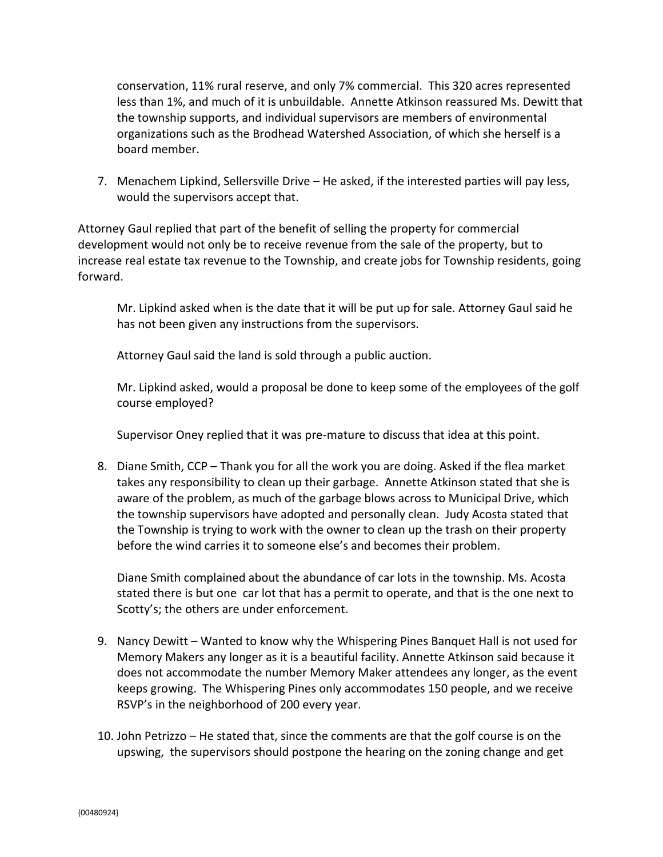conservation, 11% rural reserve, and only 7% commercial. This 320 acres represented less than 1%, and much of it is unbuildable. Annette Atkinson reassured Ms. Dewitt that the township supports, and individual supervisors are members of environmental organizations such as the Brodhead Watershed Association, of which she herself is a board member.

7. Menachem Lipkind, Sellersville Drive – He asked, if the interested parties will pay less, would the supervisors accept that.

Attorney Gaul replied that part of the benefit of selling the property for commercial development would not only be to receive revenue from the sale of the property, but to increase real estate tax revenue to the Township, and create jobs for Township residents, going forward.

Mr. Lipkind asked when is the date that it will be put up for sale. Attorney Gaul said he has not been given any instructions from the supervisors.

Attorney Gaul said the land is sold through a public auction.

Mr. Lipkind asked, would a proposal be done to keep some of the employees of the golf course employed?

Supervisor Oney replied that it was pre-mature to discuss that idea at this point.

8. Diane Smith, CCP – Thank you for all the work you are doing. Asked if the flea market takes any responsibility to clean up their garbage. Annette Atkinson stated that she is aware of the problem, as much of the garbage blows across to Municipal Drive, which the township supervisors have adopted and personally clean. Judy Acosta stated that the Township is trying to work with the owner to clean up the trash on their property before the wind carries it to someone else's and becomes their problem.

Diane Smith complained about the abundance of car lots in the township. Ms. Acosta stated there is but one car lot that has a permit to operate, and that is the one next to Scotty's; the others are under enforcement.

- 9. Nancy Dewitt Wanted to know why the Whispering Pines Banquet Hall is not used for Memory Makers any longer as it is a beautiful facility. Annette Atkinson said because it does not accommodate the number Memory Maker attendees any longer, as the event keeps growing. The Whispering Pines only accommodates 150 people, and we receive RSVP's in the neighborhood of 200 every year.
- 10. John Petrizzo He stated that, since the comments are that the golf course is on the upswing, the supervisors should postpone the hearing on the zoning change and get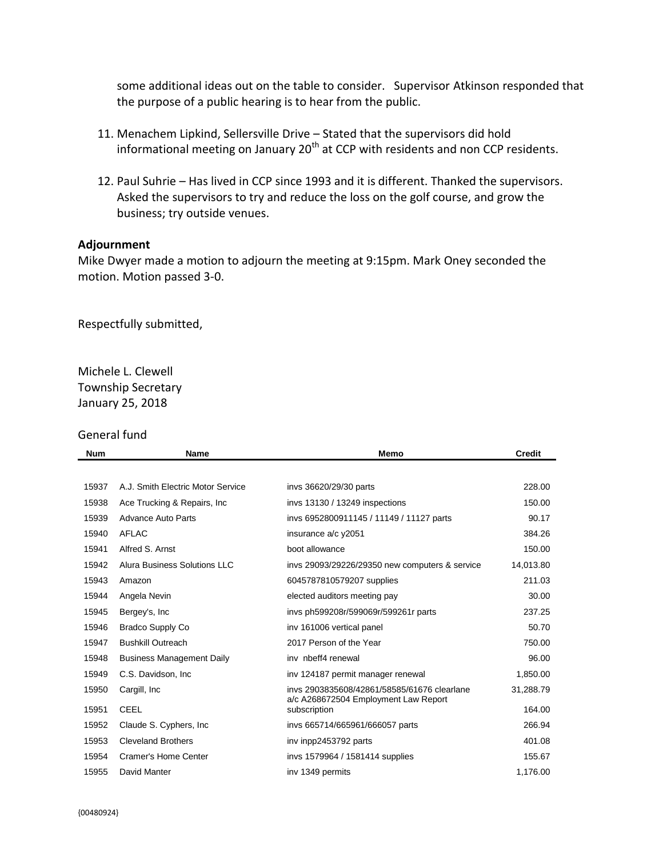some additional ideas out on the table to consider. Supervisor Atkinson responded that the purpose of a public hearing is to hear from the public.

- 11. Menachem Lipkind, Sellersville Drive Stated that the supervisors did hold informational meeting on January  $20<sup>th</sup>$  at CCP with residents and non CCP residents.
- 12. Paul Suhrie Has lived in CCP since 1993 and it is different. Thanked the supervisors. Asked the supervisors to try and reduce the loss on the golf course, and grow the business; try outside venues.

#### **Adjournment**

Mike Dwyer made a motion to adjourn the meeting at 9:15pm. Mark Oney seconded the motion. Motion passed 3-0.

Respectfully submitted,

Michele L. Clewell Township Secretary January 25, 2018

#### General fund

| <b>Num</b> | <b>Name</b>                       | <b>Memo</b>                                          | <b>Credit</b> |
|------------|-----------------------------------|------------------------------------------------------|---------------|
|            |                                   |                                                      |               |
| 15937      | A.J. Smith Electric Motor Service | invs 36620/29/30 parts                               | 228.00        |
| 15938      | Ace Trucking & Repairs, Inc.      | invs 13130 / 13249 inspections                       | 150.00        |
| 15939      | Advance Auto Parts                | invs 6952800911145 / 11149 / 11127 parts             | 90.17         |
| 15940      | AFLAC                             | insurance a/c y2051                                  | 384.26        |
| 15941      | Alfred S. Arnst                   | boot allowance                                       | 150.00        |
| 15942      | Alura Business Solutions LLC      | invs 29093/29226/29350 new computers & service       | 14,013.80     |
| 15943      | Amazon                            | 6045787810579207 supplies                            | 211.03        |
| 15944      | Angela Nevin                      | elected auditors meeting pay                         | 30.00         |
| 15945      | Bergey's, Inc.                    | invs ph599208r/599069r/599261r parts                 | 237.25        |
| 15946      | <b>Bradco Supply Co</b>           | inv 161006 vertical panel                            | 50.70         |
| 15947      | <b>Bushkill Outreach</b>          | 2017 Person of the Year                              | 750.00        |
| 15948      | <b>Business Management Daily</b>  | inv nbeff4 renewal                                   | 96.00         |
| 15949      | C.S. Davidson, Inc.               | inv 124187 permit manager renewal                    | 1,850.00      |
| 15950      | Cargill, Inc.                     | invs 2903835608/42861/58585/61676 clearlane          | 31,288.79     |
| 15951      | <b>CEEL</b>                       | a/c A268672504 Employment Law Report<br>subscription | 164.00        |
| 15952      | Claude S. Cyphers, Inc.           | invs 665714/665961/666057 parts                      | 266.94        |
| 15953      | <b>Cleveland Brothers</b>         | inv inpp2453792 parts                                | 401.08        |
| 15954      | Cramer's Home Center              | invs 1579964 / 1581414 supplies                      | 155.67        |
| 15955      | David Manter                      | inv 1349 permits                                     | 1,176.00      |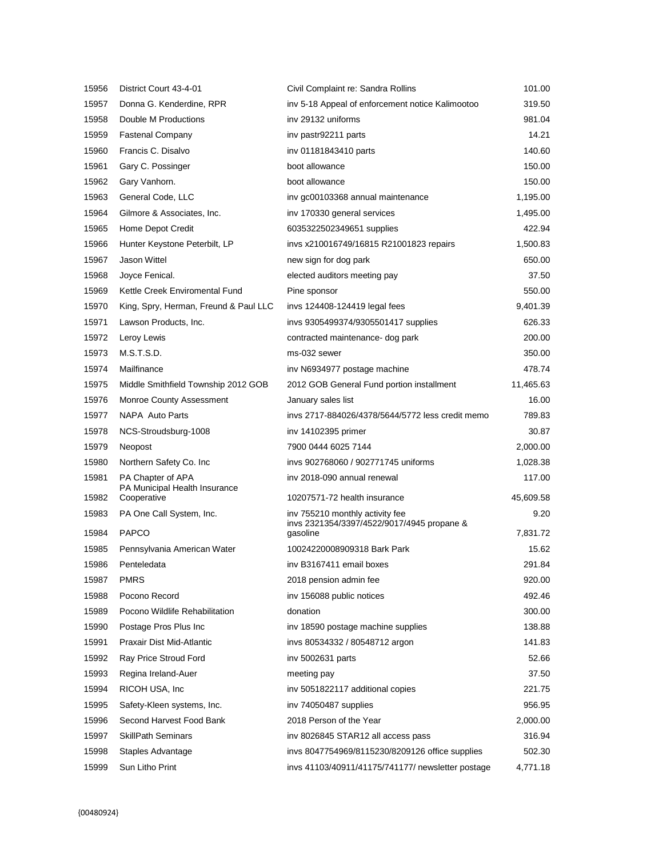| 15956 | District Court 43-4-01                       | Civil Complaint re: Sandra Rollins                | 101.00    |
|-------|----------------------------------------------|---------------------------------------------------|-----------|
| 15957 | Donna G. Kenderdine, RPR                     | inv 5-18 Appeal of enforcement notice Kalimootoo  | 319.50    |
| 15958 | Double M Productions                         | inv 29132 uniforms                                | 981.04    |
| 15959 | <b>Fastenal Company</b>                      | inv pastr92211 parts                              | 14.21     |
| 15960 | Francis C. Disalvo                           | inv 01181843410 parts                             | 140.60    |
| 15961 | Gary C. Possinger                            | boot allowance                                    | 150.00    |
| 15962 | Gary Vanhorn.                                | boot allowance                                    | 150.00    |
| 15963 | General Code, LLC                            | inv gc00103368 annual maintenance                 | 1,195.00  |
| 15964 | Gilmore & Associates, Inc.                   | inv 170330 general services                       | 1,495.00  |
| 15965 | Home Depot Credit                            | 6035322502349651 supplies                         | 422.94    |
| 15966 | Hunter Keystone Peterbilt, LP                | invs x210016749/16815 R21001823 repairs           | 1,500.83  |
| 15967 | Jason Wittel                                 | new sign for dog park                             | 650.00    |
| 15968 | Joyce Fenical.                               | elected auditors meeting pay                      | 37.50     |
| 15969 | Kettle Creek Enviromental Fund               | Pine sponsor                                      | 550.00    |
| 15970 | King, Spry, Herman, Freund & Paul LLC        | invs 124408-124419 legal fees                     | 9,401.39  |
| 15971 | Lawson Products, Inc.                        | invs 9305499374/9305501417 supplies               | 626.33    |
| 15972 | Leroy Lewis                                  | contracted maintenance- dog park                  | 200.00    |
| 15973 | M.S.T.S.D.                                   | ms-032 sewer                                      | 350.00    |
| 15974 | Mailfinance                                  | inv N6934977 postage machine                      | 478.74    |
| 15975 | Middle Smithfield Township 2012 GOB          | 2012 GOB General Fund portion installment         | 11,465.63 |
| 15976 | <b>Monroe County Assessment</b>              | January sales list                                | 16.00     |
| 15977 | NAPA Auto Parts                              | invs 2717-884026/4378/5644/5772 less credit memo  | 789.83    |
| 15978 | NCS-Stroudsburg-1008                         | inv 14102395 primer                               | 30.87     |
| 15979 | Neopost                                      | 7900 0444 6025 7144                               | 2,000.00  |
| 15980 | Northern Safety Co. Inc.                     | invs 902768060 / 902771745 uniforms               | 1,028.38  |
| 15981 | PA Chapter of APA                            | inv 2018-090 annual renewal                       | 117.00    |
| 15982 | PA Municipal Health Insurance<br>Cooperative | 10207571-72 health insurance                      | 45,609.58 |
| 15983 | PA One Call System, Inc.                     | inv 755210 monthly activity fee                   | 9.20      |
|       |                                              | invs 2321354/3397/4522/9017/4945 propane &        |           |
| 15984 | <b>PAPCO</b>                                 | gasoline                                          | 7,831.72  |
| 15985 | Pennsylvania American Water                  | 10024220008909318 Bark Park                       | 15.62     |
| 15986 | Penteledata                                  | iny B3167411 email boxes                          | 291.84    |
| 15987 | <b>PMRS</b>                                  | 2018 pension admin fee                            | 920.00    |
| 15988 | Pocono Record                                | inv 156088 public notices                         | 492.46    |
| 15989 | Pocono Wildlife Rehabilitation               | donation                                          | 300.00    |
| 15990 | Postage Pros Plus Inc                        | inv 18590 postage machine supplies                | 138.88    |
| 15991 | Praxair Dist Mid-Atlantic                    | invs 80534332 / 80548712 argon                    | 141.83    |
| 15992 | Ray Price Stroud Ford                        | inv 5002631 parts                                 | 52.66     |
| 15993 | Regina Ireland-Auer                          | meeting pay                                       | 37.50     |
| 15994 | RICOH USA, Inc.                              | inv 5051822117 additional copies                  | 221.75    |
| 15995 | Safety-Kleen systems, Inc.                   | inv 74050487 supplies                             | 956.95    |
| 15996 | Second Harvest Food Bank                     | 2018 Person of the Year                           | 2,000.00  |
| 15997 | <b>SkillPath Seminars</b>                    | inv 8026845 STAR12 all access pass                | 316.94    |
| 15998 | Staples Advantage                            | invs 8047754969/8115230/8209126 office supplies   | 502.30    |
| 15999 | Sun Litho Print                              | invs 41103/40911/41175/741177/ newsletter postage | 4,771.18  |
|       |                                              |                                                   |           |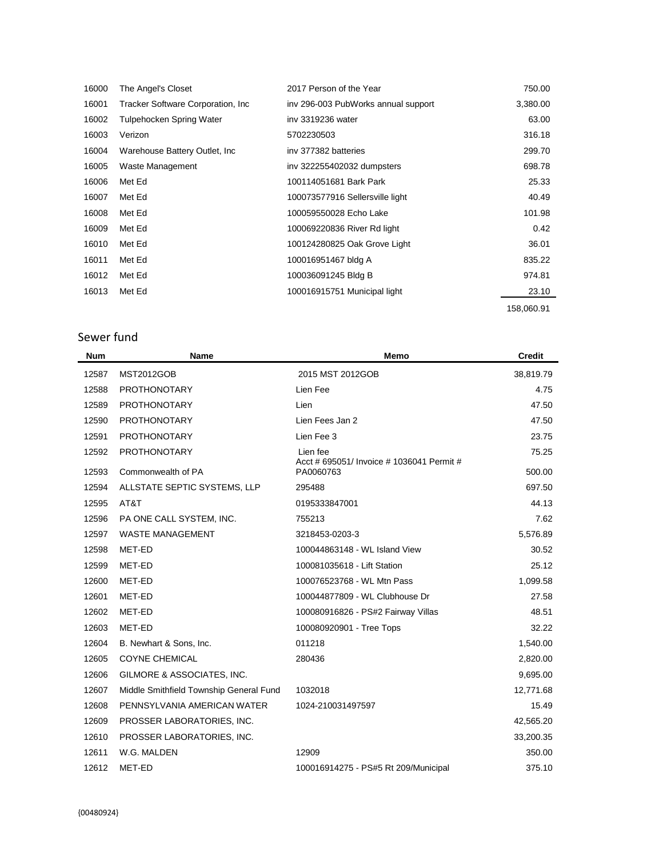| 16000 | The Angel's Closet                | 2017 Person of the Year             | 750.00     |
|-------|-----------------------------------|-------------------------------------|------------|
| 16001 | Tracker Software Corporation, Inc | inv 296-003 PubWorks annual support | 3,380.00   |
| 16002 | <b>Tulpehocken Spring Water</b>   | iny 3319236 water                   | 63.00      |
| 16003 | Verizon                           | 5702230503                          | 316.18     |
| 16004 | Warehouse Battery Outlet, Inc.    | iny 377382 batteries                | 299.70     |
| 16005 | Waste Management                  | inv 322255402032 dumpsters          | 698.78     |
| 16006 | Met Ed                            | 100114051681 Bark Park              | 25.33      |
| 16007 | Met Ed                            | 100073577916 Sellersville light     | 40.49      |
| 16008 | Met Ed                            | 100059550028 Echo Lake              | 101.98     |
| 16009 | Met Ed                            | 100069220836 River Rd light         | 0.42       |
| 16010 | Met Ed                            | 100124280825 Oak Grove Light        | 36.01      |
| 16011 | Met Ed                            | 100016951467 bldg A                 | 835.22     |
| 16012 | Met Ed                            | 100036091245 Bldg B                 | 974.81     |
| 16013 | Met Ed                            | 100016915751 Municipal light        | 23.10      |
|       |                                   |                                     | 158,060.91 |

# Sewer fund

| <b>Num</b> | Name                                    | Memo                                                   | <b>Credit</b> |
|------------|-----------------------------------------|--------------------------------------------------------|---------------|
| 12587      | <b>MST2012GOB</b>                       | 2015 MST 2012GOB                                       | 38,819.79     |
| 12588      | <b>PROTHONOTARY</b>                     | Lien Fee                                               | 4.75          |
| 12589      | <b>PROTHONOTARY</b>                     | Lien                                                   | 47.50         |
| 12590      | <b>PROTHONOTARY</b>                     | Lien Fees Jan 2                                        | 47.50         |
| 12591      | <b>PROTHONOTARY</b>                     | Lien Fee 3                                             | 23.75         |
| 12592      | <b>PROTHONOTARY</b>                     | Lien fee                                               | 75.25         |
| 12593      | Commonwealth of PA                      | Acct # 695051/ Invoice # 1036041 Permit #<br>PA0060763 | 500.00        |
| 12594      | ALLSTATE SEPTIC SYSTEMS, LLP            | 295488                                                 | 697.50        |
| 12595      | AT&T                                    | 0195333847001                                          | 44.13         |
| 12596      | PA ONE CALL SYSTEM, INC.                | 755213                                                 | 7.62          |
| 12597      | <b>WASTE MANAGEMENT</b>                 | 3218453-0203-3                                         | 5,576.89      |
| 12598      | MET-ED                                  | 100044863148 - WL Island View                          | 30.52         |
| 12599      | MET-ED                                  | 100081035618 - Lift Station                            | 25.12         |
| 12600      | MET-ED                                  | 100076523768 - WL Mtn Pass                             | 1,099.58      |
| 12601      | MET-ED                                  | 100044877809 - WL Clubhouse Dr                         | 27.58         |
| 12602      | MET-ED                                  | 100080916826 - PS#2 Fairway Villas                     | 48.51         |
| 12603      | MET-ED                                  | 100080920901 - Tree Tops                               | 32.22         |
| 12604      | B. Newhart & Sons, Inc.                 | 011218                                                 | 1,540.00      |
| 12605      | <b>COYNE CHEMICAL</b>                   | 280436                                                 | 2,820.00      |
| 12606      | GILMORE & ASSOCIATES, INC.              |                                                        | 9,695.00      |
| 12607      | Middle Smithfield Township General Fund | 1032018                                                | 12,771.68     |
| 12608      | PENNSYLVANIA AMERICAN WATER             | 1024-210031497597                                      | 15.49         |
| 12609      | PROSSER LABORATORIES, INC.              |                                                        | 42,565.20     |
| 12610      | PROSSER LABORATORIES, INC.              |                                                        | 33,200.35     |
| 12611      | W.G. MALDEN                             | 12909                                                  | 350.00        |
| 12612      | MET-ED                                  | 100016914275 - PS#5 Rt 209/Municipal                   | 375.10        |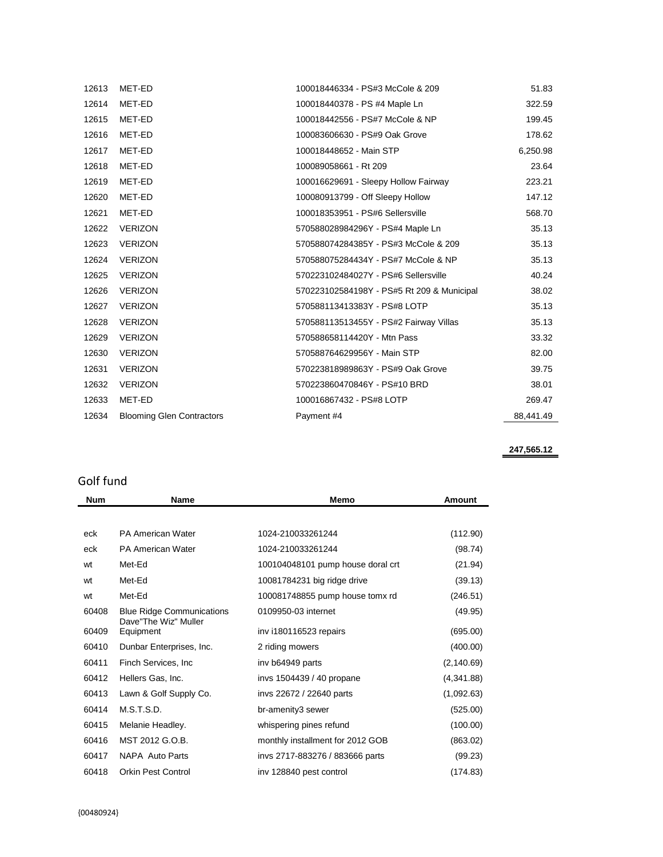| 12613 | MET-ED                           | 100018446334 - PS#3 McCole & 209           | 51.83     |
|-------|----------------------------------|--------------------------------------------|-----------|
| 12614 | MET-ED                           | 100018440378 - PS #4 Maple Ln              | 322.59    |
| 12615 | MET-ED                           | 100018442556 - PS#7 McCole & NP            | 199.45    |
| 12616 | MET-ED                           | 100083606630 - PS#9 Oak Grove              | 178.62    |
| 12617 | MET-ED                           | 100018448652 - Main STP                    | 6,250.98  |
| 12618 | MET-ED                           | 100089058661 - Rt 209                      | 23.64     |
| 12619 | MET-ED                           | 100016629691 - Sleepy Hollow Fairway       | 223.21    |
| 12620 | MET-ED                           | 100080913799 - Off Sleepy Hollow           | 147.12    |
| 12621 | MET-ED                           | 100018353951 - PS#6 Sellersville           | 568.70    |
| 12622 | <b>VERIZON</b>                   | 570588028984296Y - PS#4 Maple Ln           | 35.13     |
| 12623 | <b>VERIZON</b>                   | 570588074284385Y - PS#3 McCole & 209       | 35.13     |
| 12624 | <b>VERIZON</b>                   | 570588075284434Y - PS#7 McCole & NP        | 35.13     |
| 12625 | <b>VERIZON</b>                   | 570223102484027Y - PS#6 Sellersville       | 40.24     |
| 12626 | <b>VERIZON</b>                   | 570223102584198Y - PS#5 Rt 209 & Municipal | 38.02     |
| 12627 | <b>VERIZON</b>                   | 570588113413383Y - PS#8 LOTP               | 35.13     |
| 12628 | <b>VERIZON</b>                   | 570588113513455Y - PS#2 Fairway Villas     | 35.13     |
| 12629 | <b>VERIZON</b>                   | 570588658114420Y - Mtn Pass                | 33.32     |
| 12630 | <b>VERIZON</b>                   | 570588764629956Y - Main STP                | 82.00     |
| 12631 | <b>VERIZON</b>                   | 570223818989863Y - PS#9 Oak Grove          | 39.75     |
| 12632 | <b>VERIZON</b>                   | 570223860470846Y - PS#10 BRD               | 38.01     |
| 12633 | MET-ED                           | 100016867432 - PS#8 LOTP                   | 269.47    |
| 12634 | <b>Blooming Glen Contractors</b> | Payment #4                                 | 88,441.49 |
|       |                                  |                                            |           |

**247,565.12**

## Golf fund

| <b>Num</b> | Name                              | Memo                              | <b>Amount</b> |
|------------|-----------------------------------|-----------------------------------|---------------|
|            |                                   |                                   |               |
| eck        | <b>PA American Water</b>          | 1024-210033261244                 | (112.90)      |
| eck        | <b>PA American Water</b>          | 1024-210033261244                 | (98.74)       |
| wt         | Met-Ed                            | 100104048101 pump house doral crt | (21.94)       |
| wt         | Met-Ed                            | 10081784231 big ridge drive       | (39.13)       |
| wt         | Met-Ed                            | 100081748855 pump house tomx rd   | (246.51)      |
| 60408      | <b>Blue Ridge Communications</b>  | 0109950-03 internet               | (49.95)       |
| 60409      | Dave"The Wiz" Muller<br>Equipment | inv i180116523 repairs            | (695.00)      |
| 60410      | Dunbar Enterprises, Inc.          | 2 riding mowers                   | (400.00)      |
| 60411      | Finch Services, Inc.              | iny b64949 parts                  | (2, 140.69)   |
| 60412      | Hellers Gas, Inc.                 | invs 1504439 / 40 propane         | (4,341.88)    |
| 60413      | Lawn & Golf Supply Co.            | invs 22672 / 22640 parts          | (1,092.63)    |
| 60414      | M.S.T.S.D.                        | br-amenity3 sewer                 | (525.00)      |
| 60415      | Melanie Headley.                  | whispering pines refund           | (100.00)      |
| 60416      | MST 2012 G.O.B.                   | monthly installment for 2012 GOB  | (863.02)      |
| 60417      | NAPA Auto Parts                   | invs 2717-883276 / 883666 parts   | (99.23)       |
| 60418      | Orkin Pest Control                | inv 128840 pest control           | (174.83)      |